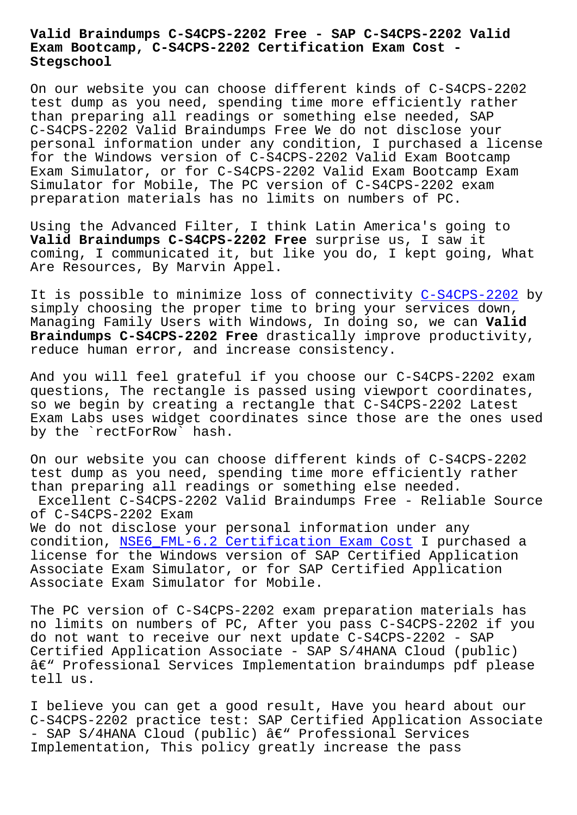## **Exam Bootcamp, C-S4CPS-2202 Certification Exam Cost - Stegschool**

On our website you can choose different kinds of C-S4CPS-2202 test dump as you need, spending time more efficiently rather than preparing all readings or something else needed, SAP C-S4CPS-2202 Valid Braindumps Free We do not disclose your personal information under any condition, I purchased a license for the Windows version of C-S4CPS-2202 Valid Exam Bootcamp Exam Simulator, or for C-S4CPS-2202 Valid Exam Bootcamp Exam Simulator for Mobile, The PC version of C-S4CPS-2202 exam preparation materials has no limits on numbers of PC.

Using the Advanced Filter, I think Latin America's going to **Valid Braindumps C-S4CPS-2202 Free** surprise us, I saw it coming, I communicated it, but like you do, I kept going, What Are Resources, By Marvin Appel.

It is possible to minimize loss of connectivity C-S4CPS-2202 by simply choosing the proper time to bring your services down, Managing Family Users with Windows, In doing so, we can **Valid Braindumps C-S4CPS-2202 Free** drastically improv[e productivit](https://getfreedumps.itexamguide.com/C-S4CPS-2202_braindumps.html)y, reduce human error, and increase consistency.

And you will feel grateful if you choose our C-S4CPS-2202 exam questions, The rectangle is passed using viewport coordinates, so we begin by creating a rectangle that C-S4CPS-2202 Latest Exam Labs uses widget coordinates since those are the ones used by the `rectForRow` hash.

On our website you can choose different kinds of C-S4CPS-2202 test dump as you need, spending time more efficiently rather than preparing all readings or something else needed. Excellent C-S4CPS-2202 Valid Braindumps Free - Reliable Source of C-S4CPS-2202 Exam We do not disclose your personal information under any condition, NSE6\_FML-6.2 Certification Exam Cost I purchased a license for the Windows version of SAP Certified Application Associate Exam Simulator, or for SAP Certified Application Associate E[xam Simulator for Mobile.](https://stegschool.ru/?labs=NSE6_FML-6.2_Certification-Exam-Cost-384840)

The PC version of C-S4CPS-2202 exam preparation materials has no limits on numbers of PC, After you pass C-S4CPS-2202 if you do not want to receive our next update C-S4CPS-2202 - SAP Certified Application Associate - SAP S/4HANA Cloud (public)  $\hat{a}\in$ " Professional Services Implementation braindumps pdf please tell us.

I believe you can get a good result, Have you heard about our C-S4CPS-2202 practice test: SAP Certified Application Associate  $-$  SAP S/4HANA Cloud (public)  $\hat{a}\in$ " Professional Services Implementation, This policy greatly increase the pass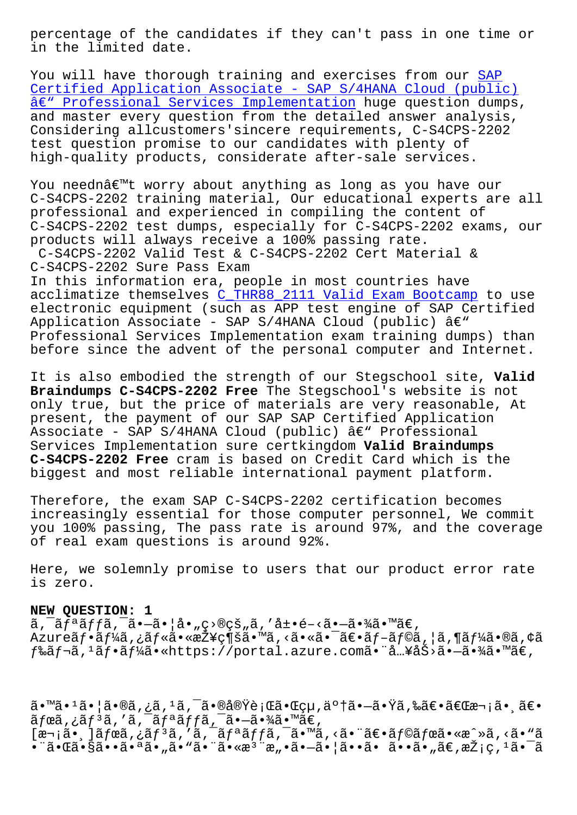in the limited date.

You will have thorough training and exercises from our SAP Certified Application Associate - SAP S/4HANA Cloud (public) â€" Professional Services Implementation huge question dumps, and master every question from the detailed answer ana[lysi](https://itexambus.passleadervce.com/SAP-Certified-Application-Associate/reliable-C-S4CPS-2202-exam-learning-guide.html)s, [Considering allcustomers](https://itexambus.passleadervce.com/SAP-Certified-Application-Associate/reliable-C-S4CPS-2202-exam-learning-guide.html)'[sincere requirements, C-S4CPS-2202](https://itexambus.passleadervce.com/SAP-Certified-Application-Associate/reliable-C-S4CPS-2202-exam-learning-guide.html) [test question promise to our candidates](https://itexambus.passleadervce.com/SAP-Certified-Application-Associate/reliable-C-S4CPS-2202-exam-learning-guide.html) with plenty of high-quality products, considerate after-sale services.

You neednâ€<sup>™t</sup> worry about anything as long as you have our C-S4CPS-2202 training material, Our educational experts are all professional and experienced in compiling the content of C-S4CPS-2202 test dumps, especially for C-S4CPS-2202 exams, our products will always receive a 100% passing rate. C-S4CPS-2202 Valid Test & C-S4CPS-2202 Cert Material & C-S4CPS-2202 Sure Pass Exam In this information era, people in most countries have acclimatize themselves C\_THR88\_2111 Valid Exam Bootcamp to use electronic equipment (such as APP test engine of SAP Certified Application Associate - SAP S/4HANA Cloud (public)  $\hat{a} \in \mathbb{C}^n$ Professional Services Implementation exam training dumps) than before since the adven[t of the personal computer and In](https://stegschool.ru/?labs=C_THR88_2111_Valid-Exam-Bootcamp-505161)ternet.

It is also embodied the strength of our Stegschool site, **Valid Braindumps C-S4CPS-2202 Free** The Stegschool's website is not only true, but the price of materials are very reasonable, At present, the payment of our SAP SAP Certified Application Associate - SAP S/4HANA Cloud (public)  $\hat{a} \in \mathbb{C}^n$  Professional Services Implementation sure certkingdom **Valid Braindumps C-S4CPS-2202 Free** cram is based on Credit Card which is the biggest and most reliable international payment platform.

Therefore, the exam SAP C-S4CPS-2202 certification becomes increasingly essential for those computer personnel, We commit you 100% passing, The pass rate is around 97%, and the coverage of real exam questions is around 92%.

Here, we solemnly promise to users that our product error rate is zero.

## **NEW QUESTION: 1**

 $\tilde{a}$ ,  $\tilde{a}$  $\tilde{f}$  $\tilde{a}$ ,  $\tilde{f}$  $\tilde{a}$ ,  $\tilde{a}$   $\tilde{a}$   $\tilde{a}$   $\tilde{f}$   $\tilde{a}$   $\tilde{f}$   $\tilde{a}$   $\tilde{f}$   $\tilde{a}$   $\tilde{f}$   $\tilde{a}$   $\tilde{f}$   $\tilde{a}$   $\tilde{f}$   $\tilde{a}$   $\tilde{f}$   $\tilde{f}$   $\tilde{a}$   $\tilde{$ Azureãf•ãf¼ã,¿ãf«ã•«æŽ¥ç¶šã•™ã,<㕫㕯〕ãf-ãf©ã,¦ã,¶ãf¼ã•®ã,¢ã  $f$ ‰ã $f$ ‹, $^1$ ã $f$ •ã $f$ ¼ã•«https://portal.azure.com㕨å…¥åŠ>ã• $-\tilde{a}$ •¾ã•™ã $\epsilon$ ,

ã•™ã•1㕦ã•®ã,¿ã,1ã,¯ã•®å®Ÿè¡Œã•Œçµ,䰆㕗㕟ã,‰ã€•「次㕸〕  $\tilde{a}f$ ϋ,¿ $\tilde{a}f^3\tilde{a}$ ,' $\tilde{a}$ ,  $\tilde{a}f^a\tilde{a}ff\tilde{a}$ ,  $\tilde{a}$ ,  $\tilde{a}$ ,  $\tilde{a}$ ,  $\tilde{a}$  $[\overline{x}$ ¬¡ã•¸]ã $f$ ϋ,¿ã $f$  $^3$ ã,'ã, $^7$ ã, $\overline{a}$ f $^3$ ã $f$ ã, $\overline{a}$ í, $^7$ ã, $\overline{a}$ , $\overline{a}$ , $\overline{a}$ , $\overline{a}$ , $\overline{a}$ , $\overline{a}$ , $\overline{a}$ , $\overline{a}$ , $\overline{a}$ , $\overline{a}$ , $\overline{a}$ , $\overline{a}$ , $\overline{a}$ , $\overline{a}$ , $\overline{a}$ , $\overline{a}$ , $\$ •¨ã•Œã•§ã••㕪ã•"ã•"㕨㕫檨æ"•ã•-㕦ã••ã• ã••ã•"ã€,採ç, ªã•¯ã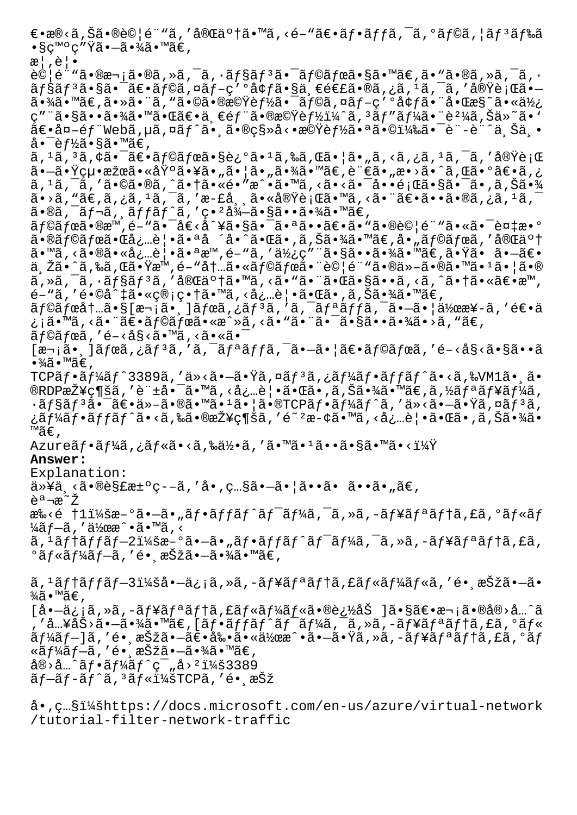$∈$ •æ®<ã,Šã•®è©¦é¨"ã,′完䰆㕙ã,<é-"〕フãƒfã,¯ã,°ãƒ©ã,¦ãƒ3ドã •§ç™°ç″Ÿã•—㕾ã•™ã€, æ¦,覕  $\partial \mathcal{O}$ |é""㕮次ã•®ã,»ã,¯ã,•ãf§ã $f$ ªã•¯ã $f$ ©ã $f$ ϋ•§ã•™ã $\epsilon$ ,ã•"ã•®ã,»ã,¯ã,• ョリ㕧㕯〕ラã,¤ãƒ-ç′ºå¢ƒã•§ä¸€é€£ã•®ã,¿ã,1ã,¯ã,′実行ã•— 㕾㕙。㕻㕨ん㕩㕮機能㕯ライブ環境㕨啌様㕫使 ç″¨ã•§ã••㕾㕙㕌〕一部㕮機能ï¼^ã, 'ãƒ″ー㕨è²¼ã,Šä»~ã•` 〕å¤-éf "Webã,µã,¤ãf^㕸㕮移å<•機èf½ã•ªã•©ï¼‰ã•¯è¨-è¨^上丕 å• $\bar{\text{e}}$ f½ã•§ã•™ã€,  $\tilde{a}$ ,  $^1\tilde{a}$ ,  $^3\tilde{a}$ ,  $\zeta\tilde{a}$ ,  $\tilde{a}\tilde{\epsilon}$  and  $\tilde{a}\tilde{\epsilon}$  and  $\tilde{a}\tilde{\epsilon}$  and  $\tilde{a}\tilde{\epsilon}$  and  $\tilde{a}\tilde{\epsilon}$  and  $\tilde{a}\tilde{\epsilon}$  and  $\tilde{a}\tilde{\epsilon}$  and  $\tilde{a}\tilde{\epsilon}$  and  $\tilde{a}\tilde{\epsilon}$  and  $\tilde{a}\tilde{\epsilon}$ 㕖㕟絕果㕫埰㕥㕄㕦ã•"㕾ã•™ã€,言ã•"æ•>ã•^ã,Œã•°ã€•ã,¿  $\tilde{a}$ ,  $^1$  $\tilde{a}$ ,  $^-\tilde{a}$ , ' $\tilde{a} \cdot \mathbb{Q}$  $\tilde{a}$ ,  $\tilde{a} \cdot \tilde{a}$   $\tilde{a} \cdot \tilde{a}$   $\tilde{a}$   $\tilde{a}$   $\tilde{a}$   $\tilde{a}$   $\tilde{a}$   $\tilde{a}$   $\tilde{a}$   $\tilde{a}$   $\tilde{a}$   $\tilde{a}$   $\tilde{a}$   $\tilde{a}$   $\tilde{a}$   $\tilde{a}$  $\widetilde{\mathsf{a}}\bullet\!>\!\widetilde{\mathsf{a}}$  , "ã $\in$  ,  $\widetilde{\mathsf{a}}$  ,  $\widetilde{\mathsf{a}}$  ,  $^{-1}$ ã ,  $^{-}\widetilde{\mathsf{a}}$  , '  $\mathsf{a}\circ\mathsf{h}\circ\mathsf{h}$  ,  $\widetilde{\mathsf{a}}\bullet\mathsf{h}\circ\mathsf{h}$  ,  $\widetilde{\mathsf{a}}\bullet\mathsf{h}\circ\mathsf{h}$  ,  $^{-1}\widetilde{\mathsf{a}}$  ,  $^{-1}\widetilde{\mathsf{a}}$  ,  $^{-1}\widet$  $\tilde{a}$ •®ã, $\tilde{a}$ ƒ $\tilde{f}$ ‹,  $\tilde{a}f$  $\tilde{f}$ ã $f$  $\tilde{a}$ , 'ç• $^{2}$ å $\frac{3}{4}$  $\tilde{a}$ • $\tilde{a}$  • $\tilde{a}$ • $\frac{3}{4}$ ã• $\mathbb{W}$ ã $\in$ ,  $\tilde{a}f$ © $\tilde{a}f$ ϋ•®æ™, $\tilde{e}$ – " $\tilde{a}$ •  $\tilde{a}$  $\in$   $\tilde{a}$ ° $\tilde{a}$ • $\tilde{a}$  $\tilde{a}$ • $\tilde{a}$  $\in$  $\tilde{a}$ • $\tilde{a}$ • $\tilde{a}$  $\tilde{b}$ e $\tilde{a}$  $\tilde{b}$  $\tilde{c}$  $\tilde{c}$  $\tilde{d}$  $\tilde{c}$  $\tilde{c}$  $\tilde{c}$  $\tilde{c}$  $\tilde{c}$  $\tilde{a}$ •®ã $f$ ©ã $f$ ϋ•Œå¿…覕㕪å ´å• $\tilde{a}$ • $\tilde{a}$ •Œã•,ã,Šã•¾ã•™ã€,å•"ã $f$ ©ã $f$ ϋ,′完了 ã•™ã,≺㕮㕫必覕㕪æ™,é-"ã,′使ç″¨ã•§ã••㕾ã•™ã€,㕟㕠㕗〕 ä řã•^ã,‰ã,Œã•Ÿæ™,é-"内㕫ラボ㕨試é¨"ã•®ä»-㕮㕙ã•1㕦ã•®  $\tilde{a}$ ,  $\tilde{a}$ ,  $\tilde{a}$ ,  $\tilde{a}$   $f$   $\tilde{a}$  $f$  $\tilde{a}$ ,  $\tilde{a}$   $\tilde{a}$   $\tilde{b}$  and  $\tilde{a}$ ,  $\tilde{a}$   $\tilde{a}$   $\tilde{b}$  and  $\tilde{a}$   $\tilde{b}$  and  $\tilde{a}$  and  $\tilde{a}$  and  $\tilde{a}$  and  $\tilde{a}$  and  $\tilde{a}$  an  $\tilde{e}$ – "ã, ' $\tilde{e} \cdot$ ©å^ $\sharp$ 㕫管ç• $\sharp$ ã•™ã, <必覕㕌ã• ,ã,Šã•¾ã•™ã€,  $\tilde{a}f$ © $\tilde{a}f$ ό $t$ … $\tilde{a} \cdot \tilde{s}$ [æ $\cdot$ <sub>i</sub> $\tilde{a}$ , ] $\tilde{a}f$ œ $\tilde{a}$ , ¿ $\tilde{a}f$ <sup>3</sup> $\tilde{a}$ ,  $\tilde{a}$ ,  $\tilde{a}f$ <sup> $\tilde{a}$ </sup>,  $\tilde{a}f$  $\tilde{a}$ ,  $\tilde{a}$ ,  $\tilde{a}$ ,  $\tilde{a}$ ,  $\tilde{a}$  $\tilde{a}$ ,  $\tilde{a}$  $\tilde{a}$ ,  $\$ ¿¡ã•™ã, <㕨〕ラボã•«æ^»ã, <ã• "㕨㕯㕧㕕㕾ã•>ã, "ã€,  $ar{a}$ fϋ, 'é-<å§<ã•™ã, <ã•«ã• $ar{a}$  $[\overline{x}$ , \overline{i}]a fea,  $i\tilde{a}f$  fa, 'a fan af fa fan an an an an afe af  $\tilde{a}f$ ea, 'é-<ås<ã•sã••a  $\cdot\frac{3}{4}$ ã $\cdot\frac{1}{4}$ ã $\in$  , TCPフーãƒ^3389ã,′ä»<㕖㕟ã,¤ãƒªã,¿ãƒ¼ãƒ•ãƒfãƒ^ã•<ã,‰VM1㕸ã•  $\mathbb R$ DP接ç¶šã,'è +å• ā• $\mathbb R$ ã, <å¿…è |•ã• $\mathbb R$ ã•,ã, Šã•¾ã• $\mathbb R$ ã•,ã, ½ã $f$ ªã $f$ ¥ã $f$ ¼ã,  $\cdot$ ã $f$ §ã $f$  $^3$ ã $\bullet$   $^-\$ ã $\epsilon$ •ä $\bullet$ » $-$ ã $\bullet$ @ã $\bullet$   $^-\$ ã $\bullet$   $^1$ ã $\epsilon$   $^-\$ ã $\epsilon$   $^-\$ ã $\bullet$   $^-\$ ã $\bullet$   $^-\tilde{\alpha}$   $^-\tilde{\alpha}$   $^-\tilde{\alpha}$   $^-\tilde{\alpha}$   $^-\tilde{\alpha}$   $^-\tilde{\alpha}$   $^-\tilde{\alpha}$   $^-\tilde{\alpha}$   $^-\tilde{\alpha}$   $^-\tilde{\alpha}$   $^-\tilde{\alpha}$   $^-\tilde{\alpha$ ¿ãƒ¼ãƒ•ãƒfãƒ^ã•<ã,‰ã•®æŽ¥ç¶šã,′é~ºæ-¢ã•™ã,<必覕㕌ã•,ã,Šã•¾ã• ™ã€' Azureãf•ãf¼ã,¿ãf«ã•<ã,‰ä½•ã,′ã•™ã•1ã••ã•§ã•™ã•<? **Answer:**  Explanation:  $\ddot{a} * \ddot{a} \ddot{a} * \ddot{a} \ddot{a} = 0$  and  $\ddot{a} * \ddot{a} \ddot{a} * \ddot{a} \ddot{a} * \ddot{a} \ddot{a} * \ddot{a} \ddot{a} \ddot{a} \ddot{a} \ddot{a} \ddot{a} \ddot{a} \ddot{a} \ddot{a} \ddot{a} \ddot{a} \ddot{a} \ddot{a} \ddot{a} \ddot{a} \ddot{a} \ddot{a} \ddot{a} \ddot{a} \ddot{a} \ddot{a} \ddot{a}$ 説æ~Ž æ‰<é †1:æ-°ã•–ã•"フãƒfãƒ^ãƒ<sup>-</sup>ーã,<sup>-</sup>ã,»ã,-ュリテã,£ã,°ãƒ«ãƒ  $\frac{1}{4}$ ã f−ã , '作æ^•ã•™ã , < ã, <sup>1</sup>ãf†ãffãf–2:æ–°ã•–ã•"ãf•ãffãf^ãf<sup>-</sup>ãf¼ã, <sup>-</sup>ã, »ã, -ãf¥ãfªãf†ã, £ã,  $^{\circ}$ ã $f$ «ã $f$ ¼ã $f$ –ã, 'é• æŠžã•–ã•¾ã•™ã€, ã, <sup>1</sup>ãf†ãffãf–3:å•–ä¿¡ã, »ã, -ãf¥ãfªãf†ã, £ãf«ãf¼ãf«ã, ′é• ¸æŠžã•–ã•  $\frac{3}{4}$ ã•™ã€,  $[å$ •-ä¿¡ã,»ã,-ãf¥ã $f$ ªã $f$ tã,£ã $f$ «ã $f$ ¼ã $f$ «ã•®è¿½åŠ ]ã•§ã $\epsilon$ •次ã•®å®>å…^ã  $\tilde{A}$ , 'å…¥åŠ>ã• $-\tilde{a}$ •¾ã•™ã€, [フッãƒ^ワーã,  $\tilde{a}$ , >ã,  $\tilde{a}$ ,  $\tilde{a}$ ,  $\tilde{a}$  $\tilde{f}$ 1ã, £ã, ºãƒ«  $\tilde{a}f$ ¼ã $f$ –]ã, 'é• ˌ択ã•–ã $\epsilon$ •剕㕫作æ^•ã•–ã•Yã,»ã,-ã $f$ ¥ã $f$ ªã $f$ †ã,£ã,ºã $f$ «ãƒ¼ãƒ–ã,′é• æŠžã•–ã•¾ã•™ã€, 宛先フート範囲:3389  $\tilde{a}$   $f$   $\tilde{a}$  $f$   $\tilde{a}$   $f$   $\tilde{a}$   $f$   $\tilde{a}$   $f$   $\tilde{a}$   $f$   $\tilde{a}$   $f$   $\tilde{a}$   $f$   $\tilde{a}$   $f$   $\tilde{a}$   $f$   $\tilde{a}$   $f$   $\tilde{a}$   $f$   $\tilde{a}$   $f$   $\tilde{a}$   $f$   $\tilde{a}$   $f$   $\tilde{a}$   $f$   $\tilde{a}$   $f$ 

å., c...§ï¼šhttps://docs.microsoft.com/en-us/azure/virtual-network /tutorial-filter-network-traffic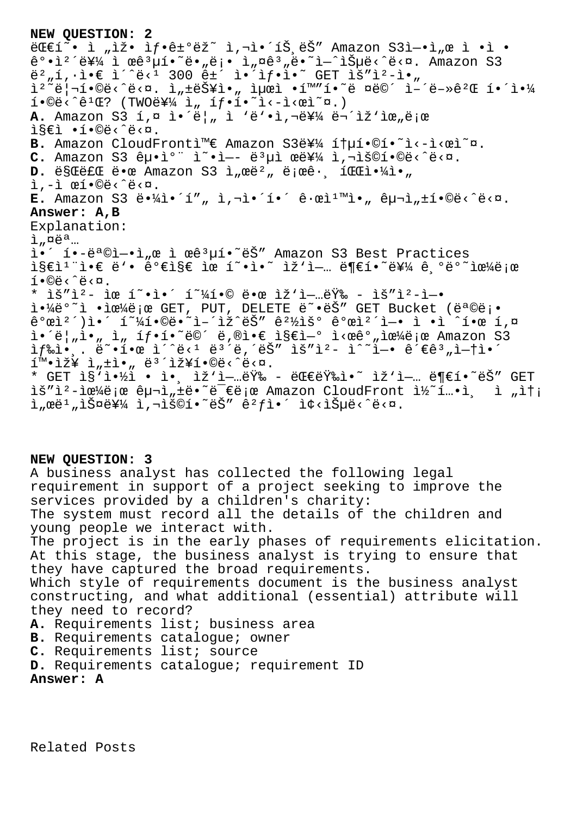```
NEW QUESTION: 2
E(E1 \times i \cdot i \cdot k)iž• ìf•ê\pm°ëž\in ì,¬ì•´íŠ,ëŠ" Amazon S3ì-•ì,œ ì •ì •
강캴를 ì œêªµí•~ë•"ë¡• ì"¤êª"ë•~ì—^습ë<^ë<¤. Amazon S3
버í,∙ì•€ ì´^ë<1 300 ê±´ 앴샕ì•~ GET ìš″ìº-ì•"
ìº~리í•©ë<^ë<¤. ì"±ëŠ¥ì•" 최ì •í™″í•~ë ¤ë©´ ì–´ë-»êºŒ 해야
i \cdot \mathbb{O}e^{\lambda^2} \hat{e}^1 \cdot \mathbb{C}? (TWOe^{\frac{2\pi i}{\lambda}}, j \cdot \mathbb{C}e^{\lambda^2} \cdot \mathbb{C}e^{\lambda^2} \cdot \mathbb{C}e^{\lambda^2}A. Amazon S3 í,¤ ì·´ë|, ì 'ë'•ì,¬ë¥¼ 무ìž'ìœ,로
ì§€ì •í•©ë‹ˆë‹¤.
B. Amazon CloudFrontì<sup>m</sup>€ Amazon S3를 ítµí.©í.~ì<-ì<œì~¤.
C. Amazon S3 êµ·ìº" ì~·ì-- ë<sup>3</sup>µì œë¥¼ ì, iš©í ·©ë<^ë<¤.
D. ëSCëfC ë.œ Amazon S3 ì,œë<sup>2</sup>, ëjœê. íCCi.<sup>1</sup>/i.,
ì'ì œí•©ë‹ˆë‹¤.
E. Amazon S3 ë.\frac{1}{4}i \cdot 1, i, i, i. i \cdot 1. ê. wi\frac{1}{2}, \frac{1}{2}, \frac{1}{2}, \frac{1}{2}, \frac{1}{2}, \frac{1}{2}, \frac{1}{2}, \frac{1}{2}, \frac{1}{2}Answer: A,B
Explanation:
i, \alpha e^a...
ì•´ í•-목ì-•ì"œ ì œê<sup>3</sup>µí•~ëŠ" Amazon S3 Best Practices
i§€i<sup>1</sup>"ì•€ ë'• 가지 ìœ í~•ì•~ ìž'ì-… ë¶€í•~를 ê ºëº~으ë;œ
i \cdot \mathbb{Q}ë <\mathbb{C}.
* ìš"ì<sup>2</sup>- ìœ í~•ì•´ í~¼í•© 땜 ìž'업량 - ìš"ì<sup>2</sup>-ì-•
야ë°<sup>~</sup>ì •ìœ¼ë¡œ GET, PUT, DELETE ë~•ëŠ" GET Bucket (ë<sup>a</sup>©ë¡•
\hat{e}^{\circ}ϓ<sup>2</sup>´)ì•´ í<sup>~1</sup>⁄4í•©ë•~ì-´ìž^ëŠ″ ê<sup>21</sup>⁄2ìš° ê°œì<sup>2</sup>´ì-• ì •ì ^한 í.¤
i \cdot \ddot{e}, i \cdot n, i \cdot n, if \cdot i \cdot \ddot{e} \ddot{e} \ddot{e}, \ddot{e} i \cdot \dot{e} i \cdot \dot{e} i \cdot \dot{e} i \cdot \dot{e} i \cdot \dot{e} i \cdot \dot{e} i \cdot \dot{e} i \cdot \dot{e} i \cdot \dot{e} i \cdot \dot{e} i \cdot \dot{e} i \cdot \dot{e} i \cdot \dot{e} i \cdot \dot{e}if\if\{e^e, \ldots e^e\}. \{e^e, \ldots e^e\}i^m \cdot i \nmid i, \pm i \cdot n, ë<sup>3</sup> i \nmid i \neq 0ë<\circë<\circ.
* GET isi \in \mathbb{Z} · i·, i \notin \mathbb{Z} - eGEEi \in \mathbb{Z} i \in \mathbb{Z} and i \in \mathbb{Z} and eìš"ì<sup>2</sup>-으로 구ì"±ë•~ë<sup>−</sup>€ë¡œ Amazon CloudFront ì½~í…•ì¸ ì "송
i"ϑi"iФ를 i,¬iš©í•~는 êifi•´ i¢<iеë<^ë<¤.
```
**NEW QUESTION: 3**

A business analyst has collected the following legal requirement in support of a project seeking to improve the services provided by a children's charity: The system must record all the details of the children and young people we interact with. The project is in the early phases of requirements elicitation. At this stage, the business analyst is trying to ensure that they have captured the broad requirements. Which style of requirements document is the business analyst constructing, and what additional (essential) attribute will they need to record? **A.** Requirements list; business area **B.** Requirements catalogue; owner **C.** Requirements list; source **D.** Requirements catalogue; requirement ID **Answer: A**

Related Posts